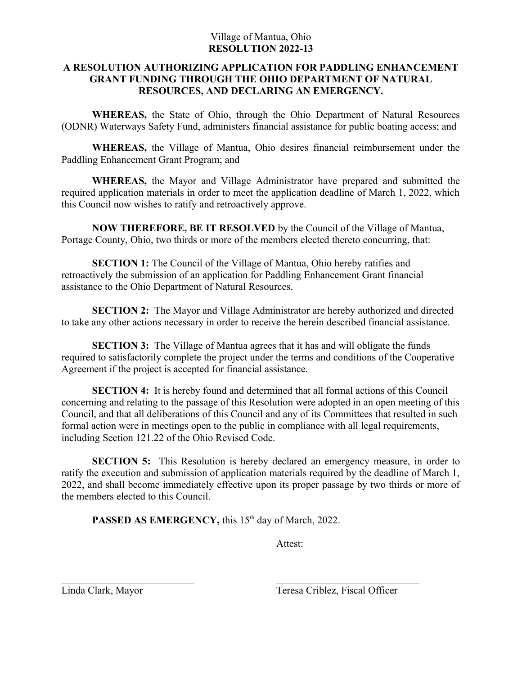## Village of Mantua, Ohio **RESOLUTION 2022-13**

## **A RESOLUTION AUTHORIZING APPLICATION FOR PADDLING ENHANCEMENT GRANT FUNDING THROUGH THE OHIO DEPARTMENT OF NATURAL RESOURCES, AND DECLARING AN EMERGENCY.**

**WHEREAS,** the State of Ohio, through the Ohio Department of Natural Resources (ODNR) Waterways Safety Fund, administers financial assistance for public boating access; and

**WHEREAS,** the Village of Mantua, Ohio desires financial reimbursement under the Paddling Enhancement Grant Program; and

**WHEREAS,** the Mayor and Village Administrator have prepared and submitted the required application materials in order to meet the application deadline of March 1, 2022, which this Council now wishes to ratify and retroactively approve.

**NOW THEREFORE, BE IT RESOLVED** by the Council of the Village of Mantua, Portage County, Ohio, two thirds or more of the members elected thereto concurring, that:

**SECTION 1:** The Council of the Village of Mantua, Ohio hereby ratifies and retroactively the submission of an application for Paddling Enhancement Grant financial assistance to the Ohio Department of Natural Resources.

**SECTION 2:** The Mayor and Village Administrator are hereby authorized and directed to take any other actions necessary in order to receive the herein described financial assistance.

**SECTION 3:** The Village of Mantua agrees that it has and will obligate the funds required to satisfactorily complete the project under the terms and conditions of the Cooperative Agreement if the project is accepted for financial assistance.

**SECTION 4:** It is hereby found and determined that all formal actions of this Council concerning and relating to the passage of this Resolution were adopted in an open meeting of this Council, and that all deliberations of this Council and any of its Committees that resulted in such formal action were in meetings open to the public in compliance with all legal requirements, including Section 121.22 of the Ohio Revised Code.

**SECTION 5:** This Resolution is hereby declared an emergency measure, in order to ratify the execution and submission of application materials required by the deadline of March 1, 2022, and shall become immediately effective upon its proper passage by two thirds or more of the members elected to this Council.

PASSED AS EMERGENCY, this 15<sup>th</sup> day of March, 2022.

Attest:

Linda Clark, Mayor Teresa Criblez, Fiscal Officer